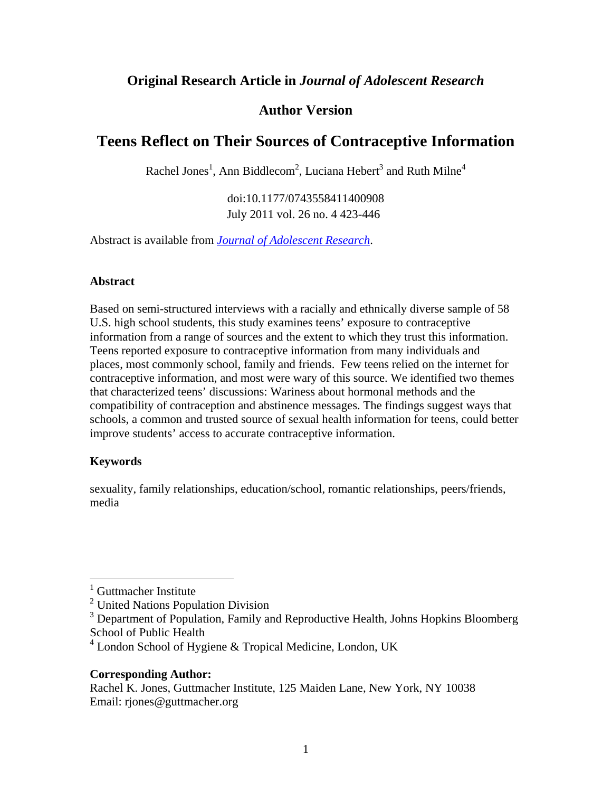# **Original Research Article in** *Journal of Adolescent Research*

# **Author Version**

# **Teens Reflect on Their Sources of Contraceptive Information**

Rachel Jones<sup>1</sup>, Ann Biddlecom<sup>2</sup>, Luciana Hebert<sup>3</sup> and Ruth Milne<sup>4</sup>

doi:10.1177/0743558411400908 July 2011 vol. 26 no. 4 423-446

Abstract is available from *[Journal of Adolescent Research](http://jar.sagepub.com/content/26/4/423)*.

### **Abstract**

Based on semi-structured interviews with a racially and ethnically diverse sample of 58 U.S. high school students, this study examines teens' exposure to contraceptive information from a range of sources and the extent to which they trust this information. Teens reported exposure to contraceptive information from many individuals and places, most commonly school, family and friends. Few teens relied on the internet for contraceptive information, and most were wary of this source. We identified two themes that characterized teens' discussions: Wariness about hormonal methods and the compatibility of contraception and abstinence messages. The findings suggest ways that schools, a common and trusted source of sexual health information for teens, could better improve students' access to accurate contraceptive information.

## **Keywords**

 $\overline{a}$ 

sexuality, family relationships, education/school, romantic relationships, peers/friends, media

## **Corresponding Author:**

<sup>1</sup> Guttmacher Institute

<sup>&</sup>lt;sup>2</sup> United Nations Population Division

<sup>&</sup>lt;sup>3</sup> Department of Population, Family and Reproductive Health, Johns Hopkins Bloomberg School of Public Health

 $4$  London School of Hygiene & Tropical Medicine, London, UK

Rachel K. Jones, Guttmacher Institute, 125 Maiden Lane, New York, NY 10038 Email: rjones@guttmacher.org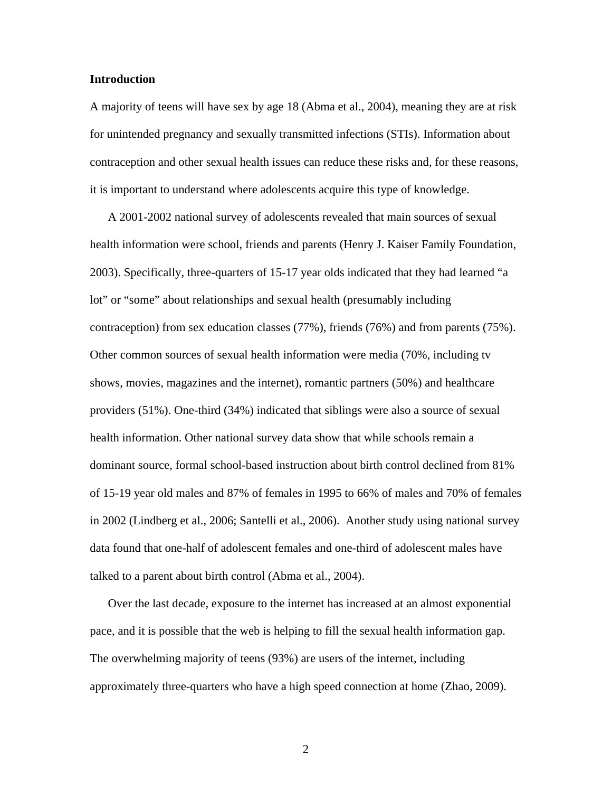#### **Introduction**

A majority of teens will have sex by age 18 (Abma et al., 2004), meaning they are at risk for unintended pregnancy and sexually transmitted infections (STIs). Information about contraception and other sexual health issues can reduce these risks and, for these reasons, it is important to understand where adolescents acquire this type of knowledge.

A 2001-2002 national survey of adolescents revealed that main sources of sexual health information were school, friends and parents (Henry J. Kaiser Family Foundation, 2003). Specifically, three-quarters of 15-17 year olds indicated that they had learned "a lot" or "some" about relationships and sexual health (presumably including contraception) from sex education classes (77%), friends (76%) and from parents (75%). Other common sources of sexual health information were media (70%, including tv shows, movies, magazines and the internet), romantic partners (50%) and healthcare providers (51%). One-third (34%) indicated that siblings were also a source of sexual health information. Other national survey data show that while schools remain a dominant source, formal school-based instruction about birth control declined from 81% of 15-19 year old males and 87% of females in 1995 to 66% of males and 70% of females in 2002 (Lindberg et al., 2006; Santelli et al., 2006). Another study using national survey data found that one-half of adolescent females and one-third of adolescent males have talked to a parent about birth control (Abma et al., 2004).

Over the last decade, exposure to the internet has increased at an almost exponential pace, and it is possible that the web is helping to fill the sexual health information gap. The overwhelming majority of teens (93%) are users of the internet, including approximately three-quarters who have a high speed connection at home (Zhao, 2009).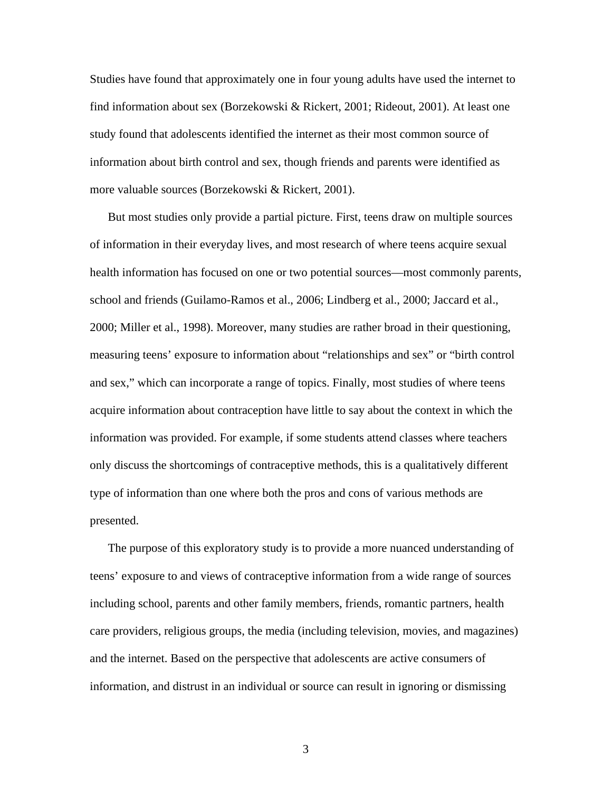Studies have found that approximately one in four young adults have used the internet to find information about sex (Borzekowski & Rickert, 2001; Rideout, 2001). At least one study found that adolescents identified the internet as their most common source of information about birth control and sex, though friends and parents were identified as more valuable sources (Borzekowski & Rickert, 2001).

But most studies only provide a partial picture. First, teens draw on multiple sources of information in their everyday lives, and most research of where teens acquire sexual health information has focused on one or two potential sources—most commonly parents, school and friends (Guilamo-Ramos et al., 2006; Lindberg et al., 2000; Jaccard et al., 2000; Miller et al., 1998). Moreover, many studies are rather broad in their questioning, measuring teens' exposure to information about "relationships and sex" or "birth control and sex," which can incorporate a range of topics. Finally, most studies of where teens acquire information about contraception have little to say about the context in which the information was provided. For example, if some students attend classes where teachers only discuss the shortcomings of contraceptive methods, this is a qualitatively different type of information than one where both the pros and cons of various methods are presented.

The purpose of this exploratory study is to provide a more nuanced understanding of teens' exposure to and views of contraceptive information from a wide range of sources including school, parents and other family members, friends, romantic partners, health care providers, religious groups, the media (including television, movies, and magazines) and the internet. Based on the perspective that adolescents are active consumers of information, and distrust in an individual or source can result in ignoring or dismissing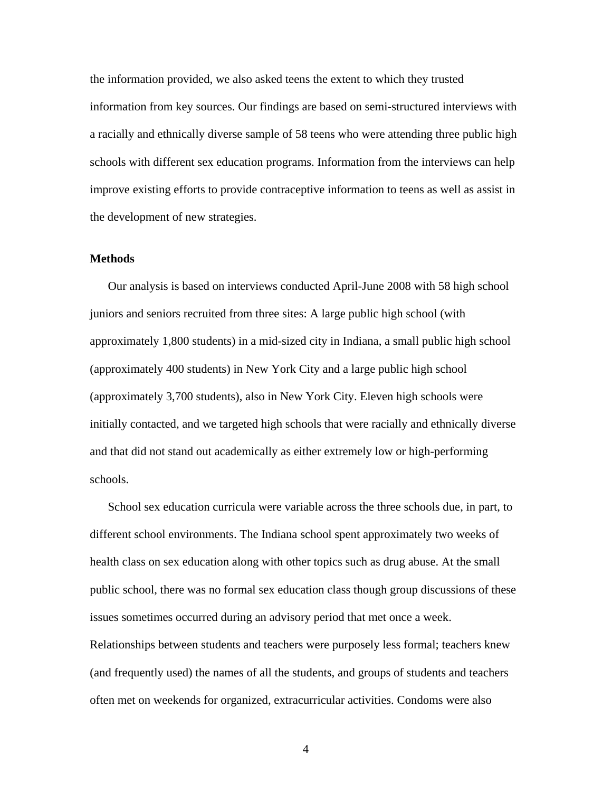the information provided, we also asked teens the extent to which they trusted information from key sources. Our findings are based on semi-structured interviews with a racially and ethnically diverse sample of 58 teens who were attending three public high schools with different sex education programs. Information from the interviews can help improve existing efforts to provide contraceptive information to teens as well as assist in the development of new strategies.

#### **Methods**

Our analysis is based on interviews conducted April-June 2008 with 58 high school juniors and seniors recruited from three sites: A large public high school (with approximately 1,800 students) in a mid-sized city in Indiana, a small public high school (approximately 400 students) in New York City and a large public high school (approximately 3,700 students), also in New York City. Eleven high schools were initially contacted, and we targeted high schools that were racially and ethnically diverse and that did not stand out academically as either extremely low or high-performing schools.

School sex education curricula were variable across the three schools due, in part, to different school environments. The Indiana school spent approximately two weeks of health class on sex education along with other topics such as drug abuse. At the small public school, there was no formal sex education class though group discussions of these issues sometimes occurred during an advisory period that met once a week. Relationships between students and teachers were purposely less formal; teachers knew (and frequently used) the names of all the students, and groups of students and teachers often met on weekends for organized, extracurricular activities. Condoms were also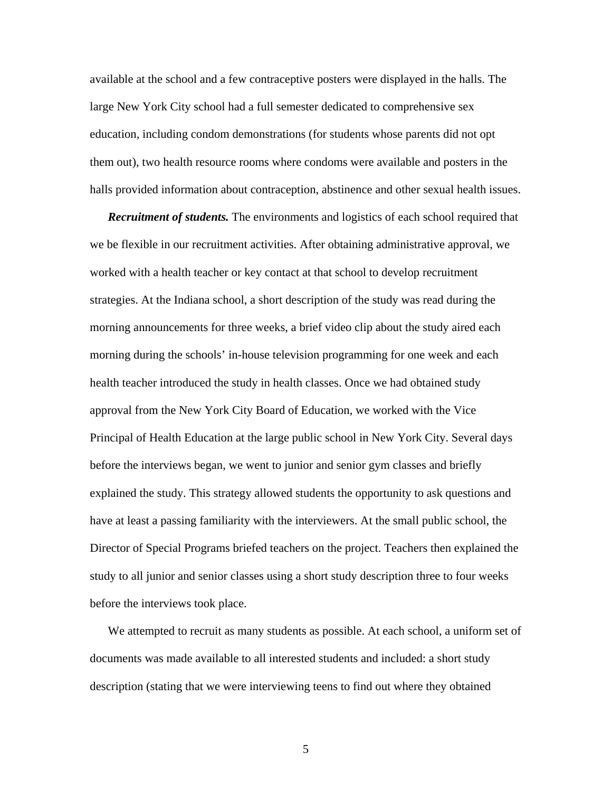available at the school and a few contraceptive posters were displayed in the halls. The large New York City school had a full semester dedicated to comprehensive sex education, including condom demonstrations (for students whose parents did not opt them out), two health resource rooms where condoms were available and posters in the halls provided information about contraception, abstinence and other sexual health issues.

*Recruitment of students.* The environments and logistics of each school required that we be flexible in our recruitment activities. After obtaining administrative approval, we worked with a health teacher or key contact at that school to develop recruitment strategies. At the Indiana school, a short description of the study was read during the morning announcements for three weeks, a brief video clip about the study aired each morning during the schools' in-house television programming for one week and each health teacher introduced the study in health classes. Once we had obtained study approval from the New York City Board of Education, we worked with the Vice Principal of Health Education at the large public school in New York City. Several days before the interviews began, we went to junior and senior gym classes and briefly explained the study. This strategy allowed students the opportunity to ask questions and have at least a passing familiarity with the interviewers. At the small public school, the Director of Special Programs briefed teachers on the project. Teachers then explained the study to all junior and senior classes using a short study description three to four weeks before the interviews took place.

We attempted to recruit as many students as possible. At each school, a uniform set of documents was made available to all interested students and included: a short study description (stating that we were interviewing teens to find out where they obtained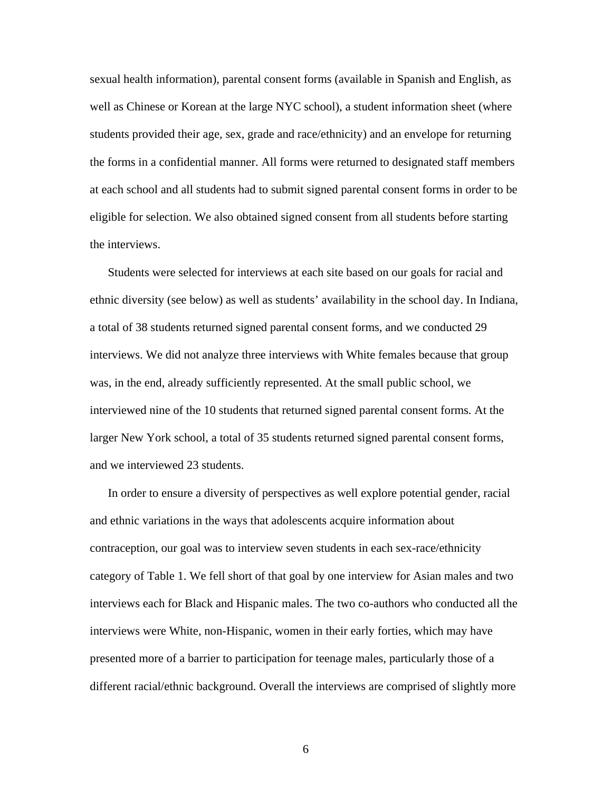sexual health information), parental consent forms (available in Spanish and English, as well as Chinese or Korean at the large NYC school), a student information sheet (where students provided their age, sex, grade and race/ethnicity) and an envelope for returning the forms in a confidential manner. All forms were returned to designated staff members at each school and all students had to submit signed parental consent forms in order to be eligible for selection. We also obtained signed consent from all students before starting the interviews.

Students were selected for interviews at each site based on our goals for racial and ethnic diversity (see below) as well as students' availability in the school day. In Indiana, a total of 38 students returned signed parental consent forms, and we conducted 29 interviews. We did not analyze three interviews with White females because that group was, in the end, already sufficiently represented. At the small public school, we interviewed nine of the 10 students that returned signed parental consent forms. At the larger New York school, a total of 35 students returned signed parental consent forms, and we interviewed 23 students.

In order to ensure a diversity of perspectives as well explore potential gender, racial and ethnic variations in the ways that adolescents acquire information about contraception, our goal was to interview seven students in each sex-race/ethnicity category of Table 1. We fell short of that goal by one interview for Asian males and two interviews each for Black and Hispanic males. The two co-authors who conducted all the interviews were White, non-Hispanic, women in their early forties, which may have presented more of a barrier to participation for teenage males, particularly those of a different racial/ethnic background. Overall the interviews are comprised of slightly more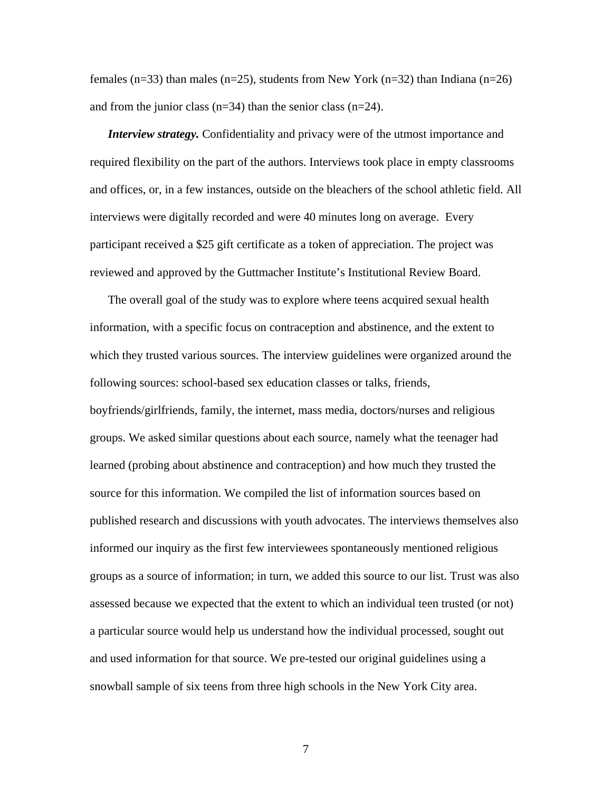females (n=33) than males (n=25), students from New York (n=32) than Indiana (n=26) and from the junior class  $(n=34)$  than the senior class  $(n=24)$ .

*Interview strategy.* Confidentiality and privacy were of the utmost importance and required flexibility on the part of the authors. Interviews took place in empty classrooms and offices, or, in a few instances, outside on the bleachers of the school athletic field. All interviews were digitally recorded and were 40 minutes long on average. Every participant received a \$25 gift certificate as a token of appreciation. The project was reviewed and approved by the Guttmacher Institute's Institutional Review Board.

The overall goal of the study was to explore where teens acquired sexual health information, with a specific focus on contraception and abstinence, and the extent to which they trusted various sources. The interview guidelines were organized around the following sources: school-based sex education classes or talks, friends, boyfriends/girlfriends, family, the internet, mass media, doctors/nurses and religious groups. We asked similar questions about each source, namely what the teenager had learned (probing about abstinence and contraception) and how much they trusted the source for this information. We compiled the list of information sources based on published research and discussions with youth advocates. The interviews themselves also informed our inquiry as the first few interviewees spontaneously mentioned religious groups as a source of information; in turn, we added this source to our list. Trust was also assessed because we expected that the extent to which an individual teen trusted (or not) a particular source would help us understand how the individual processed, sought out and used information for that source. We pre-tested our original guidelines using a snowball sample of six teens from three high schools in the New York City area.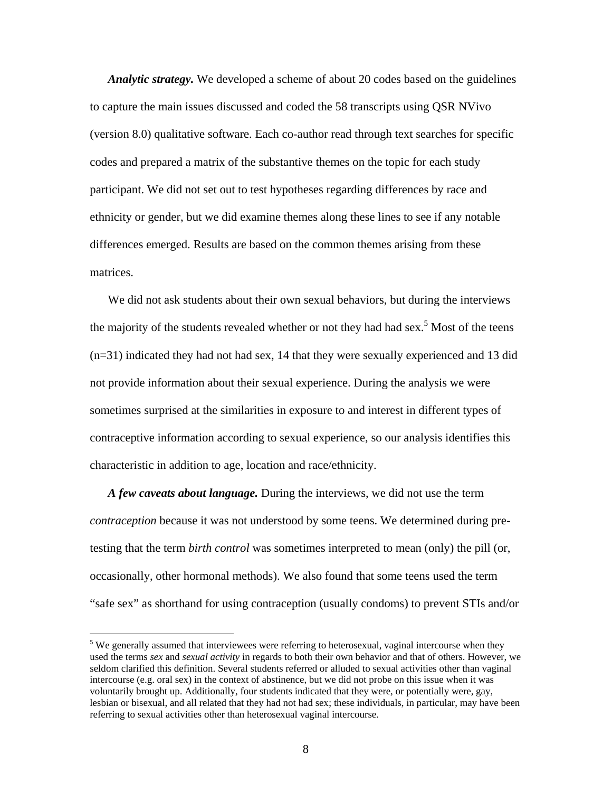*Analytic strategy.* We developed a scheme of about 20 codes based on the guidelines to capture the main issues discussed and coded the 58 transcripts using QSR NVivo (version 8.0) qualitative software. Each co-author read through text searches for specific codes and prepared a matrix of the substantive themes on the topic for each study participant. We did not set out to test hypotheses regarding differences by race and ethnicity or gender, but we did examine themes along these lines to see if any notable differences emerged. Results are based on the common themes arising from these matrices.

We did not ask students about their own sexual behaviors, but during the interviews the majority of the students revealed whether or not they had had sex.<sup>5</sup> Most of the teens (n=31) indicated they had not had sex, 14 that they were sexually experienced and 13 did not provide information about their sexual experience. During the analysis we were sometimes surprised at the similarities in exposure to and interest in different types of contraceptive information according to sexual experience, so our analysis identifies this characteristic in addition to age, location and race/ethnicity.

*A few caveats about language.* During the interviews, we did not use the term *contraception* because it was not understood by some teens. We determined during pretesting that the term *birth control* was sometimes interpreted to mean (only) the pill (or, occasionally, other hormonal methods). We also found that some teens used the term "safe sex" as shorthand for using contraception (usually condoms) to prevent STIs and/or

 $\overline{a}$ 

 $<sup>5</sup>$  We generally assumed that interviewees were referring to heterosexual, vaginal intercourse when they</sup> used the terms *sex* and *sexual activity* in regards to both their own behavior and that of others. However, we seldom clarified this definition. Several students referred or alluded to sexual activities other than vaginal intercourse (e.g. oral sex) in the context of abstinence, but we did not probe on this issue when it was voluntarily brought up. Additionally, four students indicated that they were, or potentially were, gay, lesbian or bisexual, and all related that they had not had sex; these individuals, in particular, may have been referring to sexual activities other than heterosexual vaginal intercourse.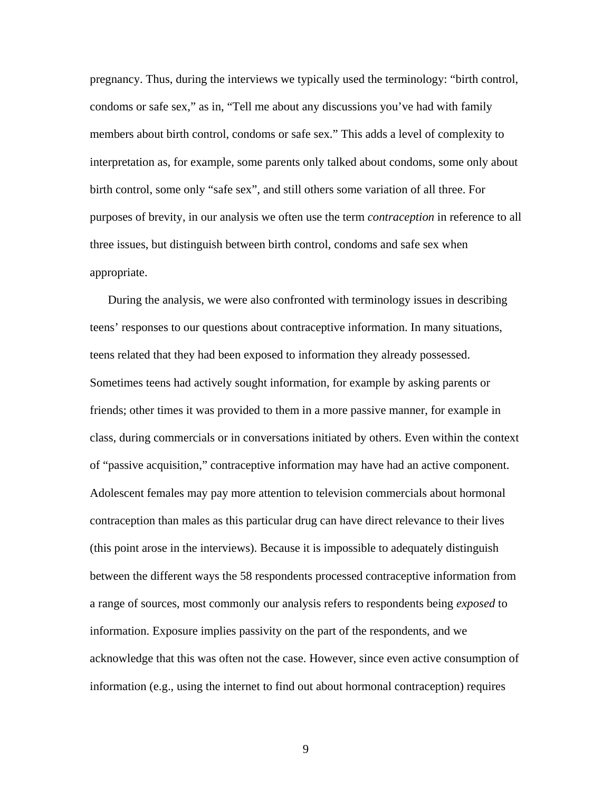pregnancy. Thus, during the interviews we typically used the terminology: "birth control, condoms or safe sex," as in, "Tell me about any discussions you've had with family members about birth control, condoms or safe sex." This adds a level of complexity to interpretation as, for example, some parents only talked about condoms, some only about birth control, some only "safe sex", and still others some variation of all three. For purposes of brevity, in our analysis we often use the term *contraception* in reference to all three issues, but distinguish between birth control, condoms and safe sex when appropriate.

During the analysis, we were also confronted with terminology issues in describing teens' responses to our questions about contraceptive information. In many situations, teens related that they had been exposed to information they already possessed. Sometimes teens had actively sought information, for example by asking parents or friends; other times it was provided to them in a more passive manner, for example in class, during commercials or in conversations initiated by others. Even within the context of "passive acquisition," contraceptive information may have had an active component. Adolescent females may pay more attention to television commercials about hormonal contraception than males as this particular drug can have direct relevance to their lives (this point arose in the interviews). Because it is impossible to adequately distinguish between the different ways the 58 respondents processed contraceptive information from a range of sources, most commonly our analysis refers to respondents being *exposed* to information. Exposure implies passivity on the part of the respondents, and we acknowledge that this was often not the case. However, since even active consumption of information (e.g., using the internet to find out about hormonal contraception) requires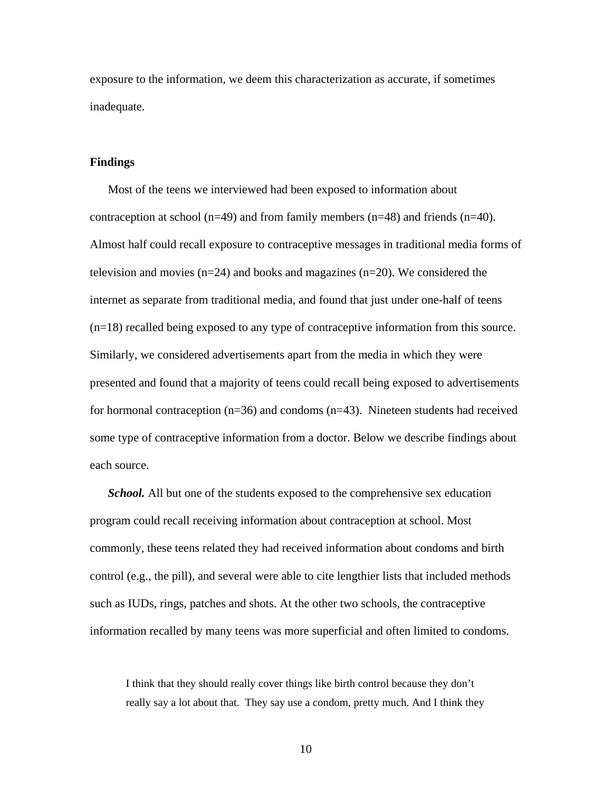exposure to the information, we deem this characterization as accurate, if sometimes inadequate.

#### **Findings**

Most of the teens we interviewed had been exposed to information about contraception at school ( $n=49$ ) and from family members ( $n=48$ ) and friends ( $n=40$ ). Almost half could recall exposure to contraceptive messages in traditional media forms of television and movies  $(n=24)$  and books and magazines  $(n=20)$ . We considered the internet as separate from traditional media, and found that just under one-half of teens (n=18) recalled being exposed to any type of contraceptive information from this source. Similarly, we considered advertisements apart from the media in which they were presented and found that a majority of teens could recall being exposed to advertisements for hormonal contraception (n=36) and condoms (n=43). Nineteen students had received some type of contraceptive information from a doctor. Below we describe findings about each source.

*School.* All but one of the students exposed to the comprehensive sex education program could recall receiving information about contraception at school. Most commonly, these teens related they had received information about condoms and birth control (e.g., the pill), and several were able to cite lengthier lists that included methods such as IUDs, rings, patches and shots. At the other two schools, the contraceptive information recalled by many teens was more superficial and often limited to condoms.

I think that they should really cover things like birth control because they don't really say a lot about that. They say use a condom, pretty much. And I think they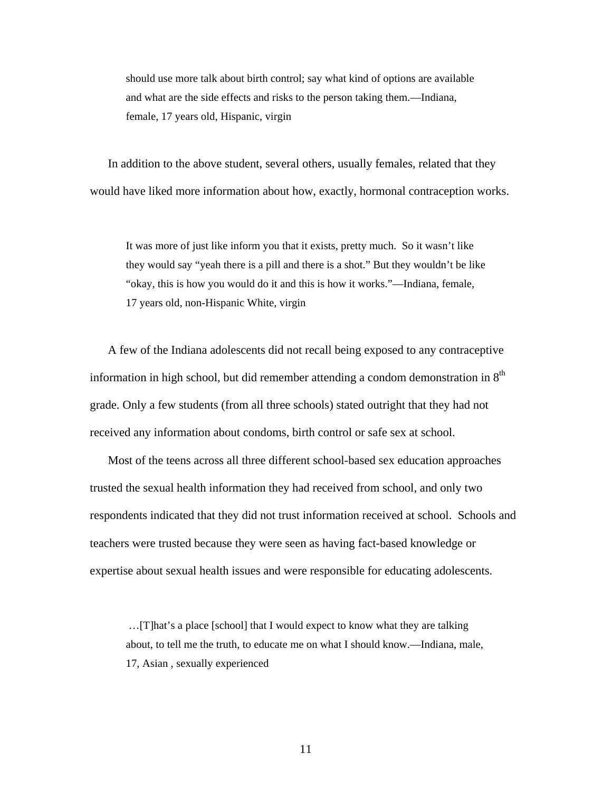should use more talk about birth control; say what kind of options are available and what are the side effects and risks to the person taking them.—Indiana, female, 17 years old, Hispanic, virgin

In addition to the above student, several others, usually females, related that they would have liked more information about how, exactly, hormonal contraception works.

It was more of just like inform you that it exists, pretty much. So it wasn't like they would say "yeah there is a pill and there is a shot." But they wouldn't be like "okay, this is how you would do it and this is how it works."—Indiana, female, 17 years old, non-Hispanic White, virgin

A few of the Indiana adolescents did not recall being exposed to any contraceptive information in high school, but did remember attending a condom demonstration in  $8<sup>th</sup>$ grade. Only a few students (from all three schools) stated outright that they had not received any information about condoms, birth control or safe sex at school.

Most of the teens across all three different school-based sex education approaches trusted the sexual health information they had received from school, and only two respondents indicated that they did not trust information received at school. Schools and teachers were trusted because they were seen as having fact-based knowledge or expertise about sexual health issues and were responsible for educating adolescents.

 …[T]hat's a place [school] that I would expect to know what they are talking about, to tell me the truth, to educate me on what I should know.—Indiana, male, 17, Asian , sexually experienced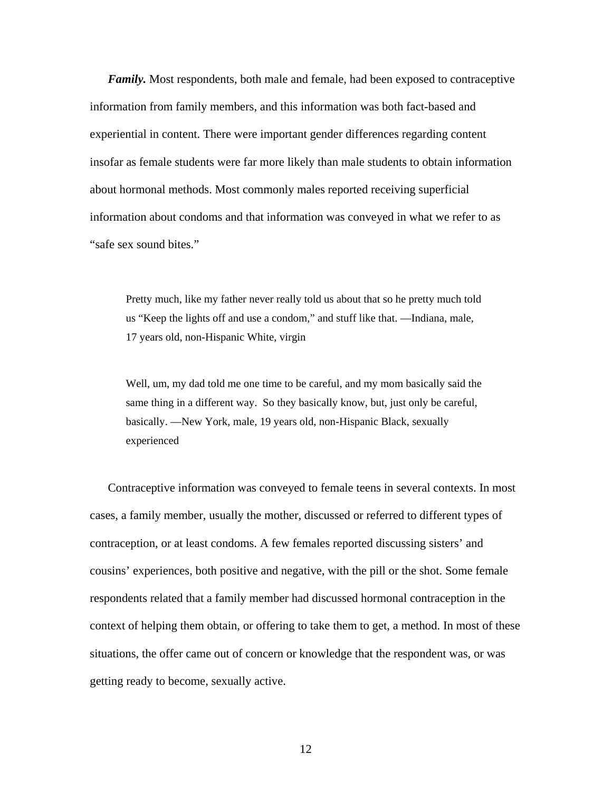*Family.* Most respondents, both male and female, had been exposed to contraceptive information from family members, and this information was both fact-based and experiential in content. There were important gender differences regarding content insofar as female students were far more likely than male students to obtain information about hormonal methods. Most commonly males reported receiving superficial information about condoms and that information was conveyed in what we refer to as "safe sex sound bites."

Pretty much, like my father never really told us about that so he pretty much told us "Keep the lights off and use a condom," and stuff like that. —Indiana, male, 17 years old, non-Hispanic White, virgin

Well, um, my dad told me one time to be careful, and my mom basically said the same thing in a different way. So they basically know, but, just only be careful, basically. —New York, male, 19 years old, non-Hispanic Black, sexually experienced

Contraceptive information was conveyed to female teens in several contexts. In most cases, a family member, usually the mother, discussed or referred to different types of contraception, or at least condoms. A few females reported discussing sisters' and cousins' experiences, both positive and negative, with the pill or the shot. Some female respondents related that a family member had discussed hormonal contraception in the context of helping them obtain, or offering to take them to get, a method. In most of these situations, the offer came out of concern or knowledge that the respondent was, or was getting ready to become, sexually active.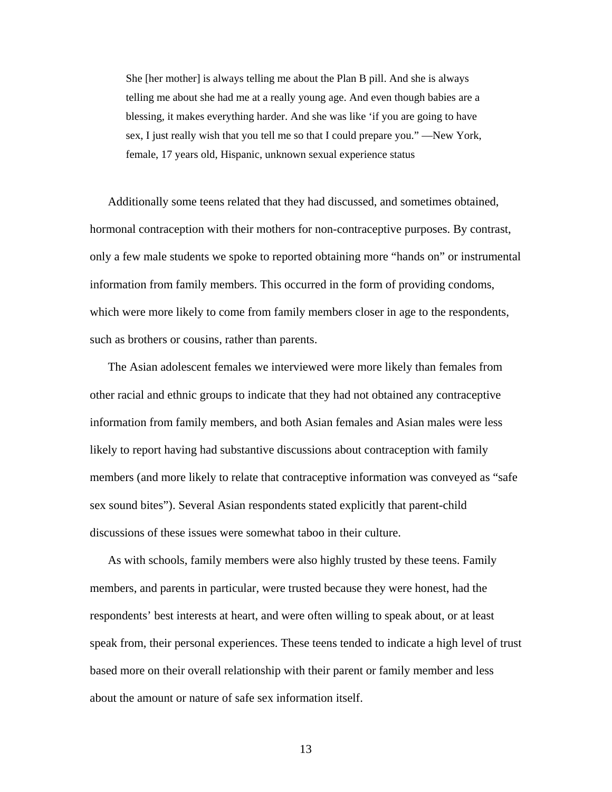She [her mother] is always telling me about the Plan B pill. And she is always telling me about she had me at a really young age. And even though babies are a blessing, it makes everything harder. And she was like 'if you are going to have sex, I just really wish that you tell me so that I could prepare you." —New York, female, 17 years old, Hispanic, unknown sexual experience status

Additionally some teens related that they had discussed, and sometimes obtained, hormonal contraception with their mothers for non-contraceptive purposes. By contrast, only a few male students we spoke to reported obtaining more "hands on" or instrumental information from family members. This occurred in the form of providing condoms, which were more likely to come from family members closer in age to the respondents, such as brothers or cousins, rather than parents.

The Asian adolescent females we interviewed were more likely than females from other racial and ethnic groups to indicate that they had not obtained any contraceptive information from family members, and both Asian females and Asian males were less likely to report having had substantive discussions about contraception with family members (and more likely to relate that contraceptive information was conveyed as "safe sex sound bites"). Several Asian respondents stated explicitly that parent-child discussions of these issues were somewhat taboo in their culture.

As with schools, family members were also highly trusted by these teens. Family members, and parents in particular, were trusted because they were honest, had the respondents' best interests at heart, and were often willing to speak about, or at least speak from, their personal experiences. These teens tended to indicate a high level of trust based more on their overall relationship with their parent or family member and less about the amount or nature of safe sex information itself.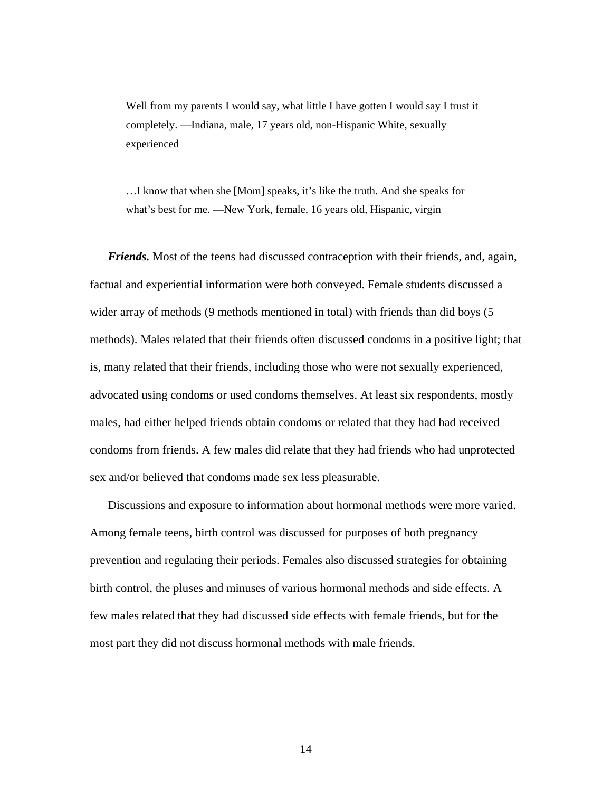Well from my parents I would say, what little I have gotten I would say I trust it completely. —Indiana, male, 17 years old, non-Hispanic White, sexually experienced

…I know that when she [Mom] speaks, it's like the truth. And she speaks for what's best for me. —New York, female, 16 years old, Hispanic, virgin

*Friends.* Most of the teens had discussed contraception with their friends, and, again, factual and experiential information were both conveyed. Female students discussed a wider array of methods (9 methods mentioned in total) with friends than did boys (5 methods). Males related that their friends often discussed condoms in a positive light; that is, many related that their friends, including those who were not sexually experienced, advocated using condoms or used condoms themselves. At least six respondents, mostly males, had either helped friends obtain condoms or related that they had had received condoms from friends. A few males did relate that they had friends who had unprotected sex and/or believed that condoms made sex less pleasurable.

Discussions and exposure to information about hormonal methods were more varied. Among female teens, birth control was discussed for purposes of both pregnancy prevention and regulating their periods. Females also discussed strategies for obtaining birth control, the pluses and minuses of various hormonal methods and side effects. A few males related that they had discussed side effects with female friends, but for the most part they did not discuss hormonal methods with male friends.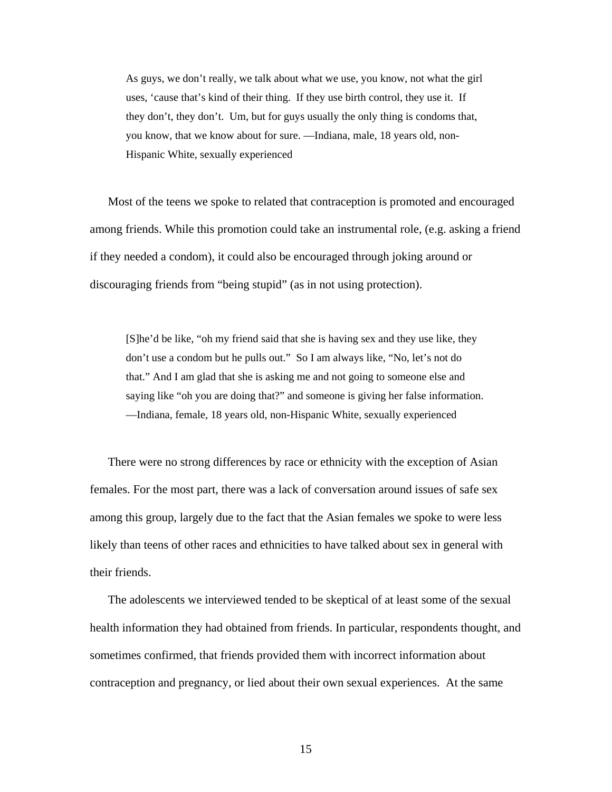As guys, we don't really, we talk about what we use, you know, not what the girl uses, 'cause that's kind of their thing. If they use birth control, they use it. If they don't, they don't. Um, but for guys usually the only thing is condoms that, you know, that we know about for sure. —Indiana, male, 18 years old, non-Hispanic White, sexually experienced

Most of the teens we spoke to related that contraception is promoted and encouraged among friends. While this promotion could take an instrumental role, (e.g. asking a friend if they needed a condom), it could also be encouraged through joking around or discouraging friends from "being stupid" (as in not using protection).

[S]he'd be like, "oh my friend said that she is having sex and they use like, they don't use a condom but he pulls out." So I am always like, "No, let's not do that." And I am glad that she is asking me and not going to someone else and saying like "oh you are doing that?" and someone is giving her false information. —Indiana, female, 18 years old, non-Hispanic White, sexually experienced

There were no strong differences by race or ethnicity with the exception of Asian females. For the most part, there was a lack of conversation around issues of safe sex among this group, largely due to the fact that the Asian females we spoke to were less likely than teens of other races and ethnicities to have talked about sex in general with their friends.

The adolescents we interviewed tended to be skeptical of at least some of the sexual health information they had obtained from friends. In particular, respondents thought, and sometimes confirmed, that friends provided them with incorrect information about contraception and pregnancy, or lied about their own sexual experiences. At the same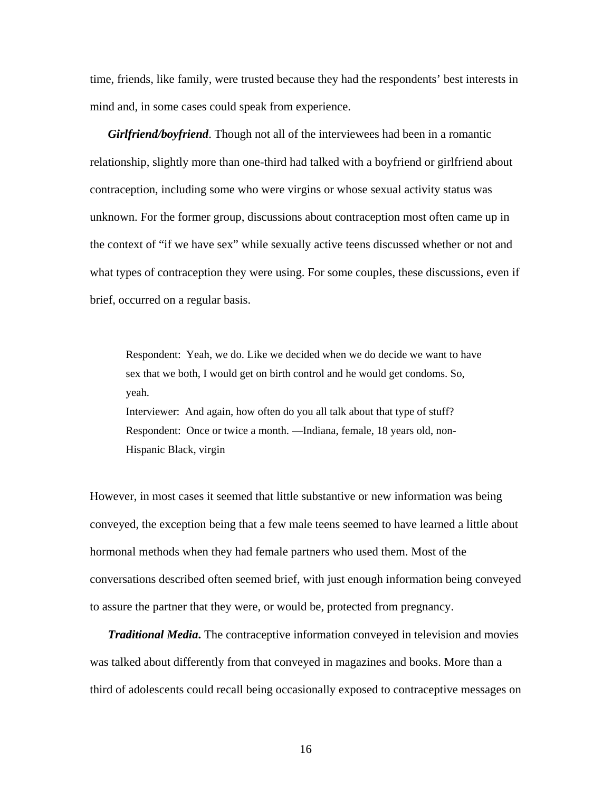time, friends, like family, were trusted because they had the respondents' best interests in mind and, in some cases could speak from experience.

*Girlfriend/boyfriend*. Though not all of the interviewees had been in a romantic relationship, slightly more than one-third had talked with a boyfriend or girlfriend about contraception, including some who were virgins or whose sexual activity status was unknown. For the former group, discussions about contraception most often came up in the context of "if we have sex" while sexually active teens discussed whether or not and what types of contraception they were using. For some couples, these discussions, even if brief, occurred on a regular basis.

Respondent: Yeah, we do. Like we decided when we do decide we want to have sex that we both, I would get on birth control and he would get condoms. So, yeah. Interviewer: And again, how often do you all talk about that type of stuff? Respondent: Once or twice a month. —Indiana, female, 18 years old, non-Hispanic Black, virgin

However, in most cases it seemed that little substantive or new information was being conveyed, the exception being that a few male teens seemed to have learned a little about hormonal methods when they had female partners who used them. Most of the conversations described often seemed brief, with just enough information being conveyed to assure the partner that they were, or would be, protected from pregnancy.

*Traditional Media*. The contraceptive information conveyed in television and movies was talked about differently from that conveyed in magazines and books. More than a third of adolescents could recall being occasionally exposed to contraceptive messages on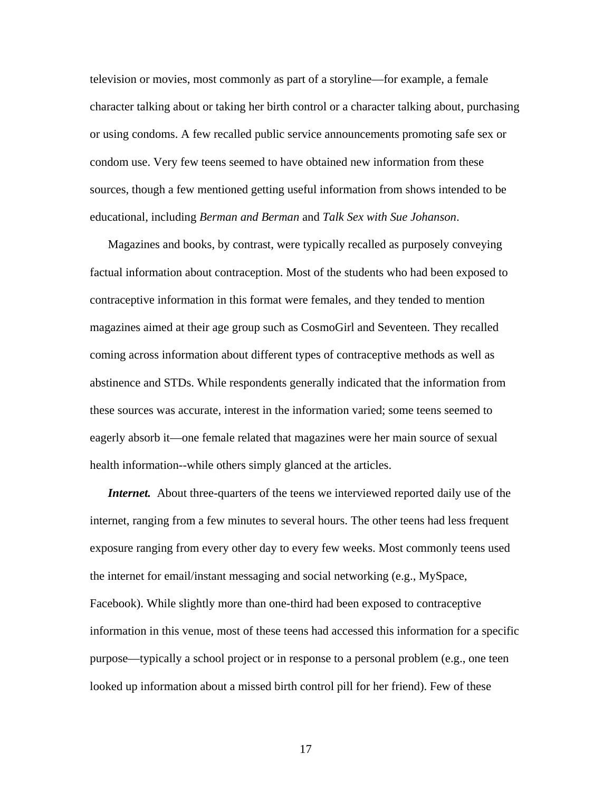television or movies, most commonly as part of a storyline—for example, a female character talking about or taking her birth control or a character talking about, purchasing or using condoms. A few recalled public service announcements promoting safe sex or condom use. Very few teens seemed to have obtained new information from these sources, though a few mentioned getting useful information from shows intended to be educational, including *Berman and Berman* and *Talk Sex with Sue Johanson*.

Magazines and books, by contrast, were typically recalled as purposely conveying factual information about contraception. Most of the students who had been exposed to contraceptive information in this format were females, and they tended to mention magazines aimed at their age group such as CosmoGirl and Seventeen. They recalled coming across information about different types of contraceptive methods as well as abstinence and STDs. While respondents generally indicated that the information from these sources was accurate, interest in the information varied; some teens seemed to eagerly absorb it—one female related that magazines were her main source of sexual health information--while others simply glanced at the articles.

*Internet.* About three-quarters of the teens we interviewed reported daily use of the internet, ranging from a few minutes to several hours. The other teens had less frequent exposure ranging from every other day to every few weeks. Most commonly teens used the internet for email/instant messaging and social networking (e.g., MySpace, Facebook). While slightly more than one-third had been exposed to contraceptive information in this venue, most of these teens had accessed this information for a specific purpose—typically a school project or in response to a personal problem (e.g., one teen looked up information about a missed birth control pill for her friend). Few of these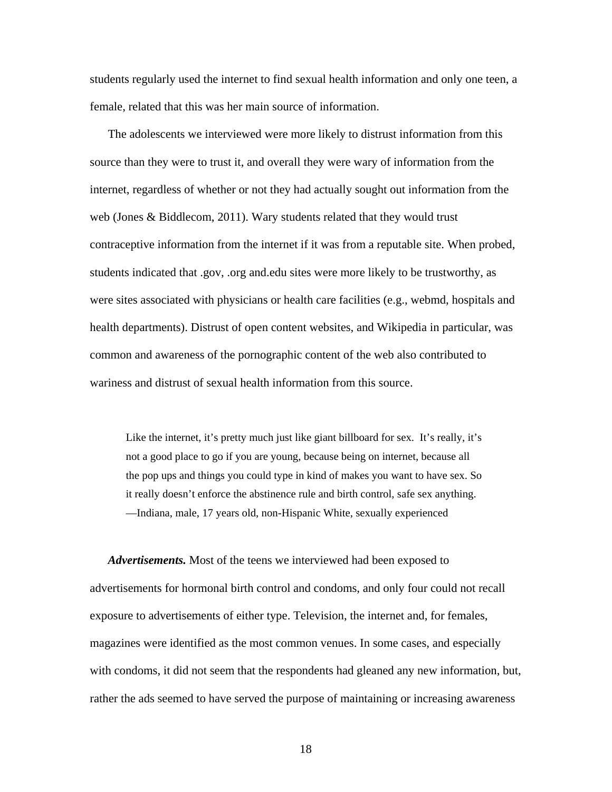students regularly used the internet to find sexual health information and only one teen, a female, related that this was her main source of information.

The adolescents we interviewed were more likely to distrust information from this source than they were to trust it, and overall they were wary of information from the internet, regardless of whether or not they had actually sought out information from the web (Jones & Biddlecom, 2011). Wary students related that they would trust contraceptive information from the internet if it was from a reputable site. When probed, students indicated that .gov, .org and.edu sites were more likely to be trustworthy, as were sites associated with physicians or health care facilities (e.g., webmd, hospitals and health departments). Distrust of open content websites, and Wikipedia in particular, was common and awareness of the pornographic content of the web also contributed to wariness and distrust of sexual health information from this source.

Like the internet, it's pretty much just like giant billboard for sex. It's really, it's not a good place to go if you are young, because being on internet, because all the pop ups and things you could type in kind of makes you want to have sex. So it really doesn't enforce the abstinence rule and birth control, safe sex anything. —Indiana, male, 17 years old, non-Hispanic White, sexually experienced

*Advertisements.* Most of the teens we interviewed had been exposed to advertisements for hormonal birth control and condoms, and only four could not recall exposure to advertisements of either type. Television, the internet and, for females, magazines were identified as the most common venues. In some cases, and especially with condoms, it did not seem that the respondents had gleaned any new information, but, rather the ads seemed to have served the purpose of maintaining or increasing awareness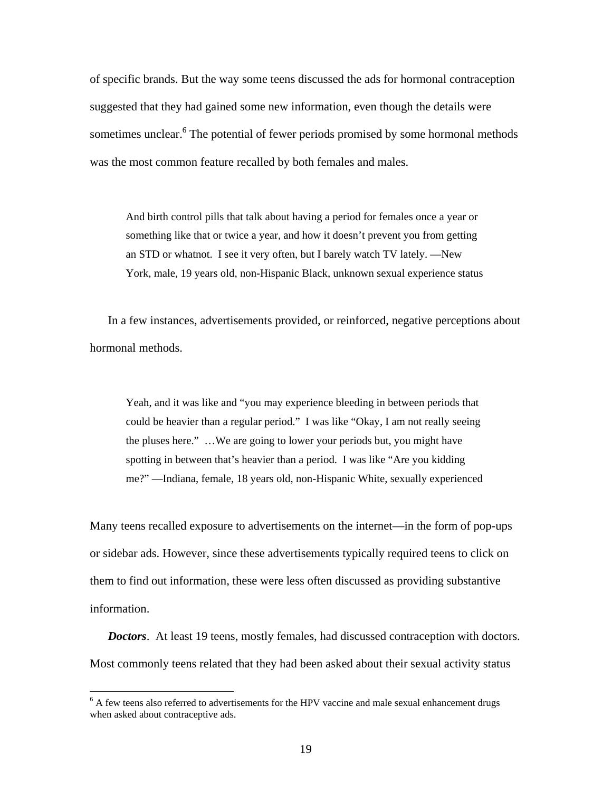of specific brands. But the way some teens discussed the ads for hormonal contraception suggested that they had gained some new information, even though the details were sometimes unclear.<sup>6</sup> The potential of fewer periods promised by some hormonal methods was the most common feature recalled by both females and males.

And birth control pills that talk about having a period for females once a year or something like that or twice a year, and how it doesn't prevent you from getting an STD or whatnot. I see it very often, but I barely watch TV lately. —New York, male, 19 years old, non-Hispanic Black, unknown sexual experience status

In a few instances, advertisements provided, or reinforced, negative perceptions about hormonal methods.

Yeah, and it was like and "you may experience bleeding in between periods that could be heavier than a regular period." I was like "Okay, I am not really seeing the pluses here." …We are going to lower your periods but, you might have spotting in between that's heavier than a period. I was like "Are you kidding me?" —Indiana, female, 18 years old, non-Hispanic White, sexually experienced

Many teens recalled exposure to advertisements on the internet—in the form of pop-ups or sidebar ads. However, since these advertisements typically required teens to click on them to find out information, these were less often discussed as providing substantive information.

*Doctors*. At least 19 teens, mostly females, had discussed contraception with doctors. Most commonly teens related that they had been asked about their sexual activity status

 $\overline{a}$ 

 $6$  A few teens also referred to advertisements for the HPV vaccine and male sexual enhancement drugs when asked about contraceptive ads.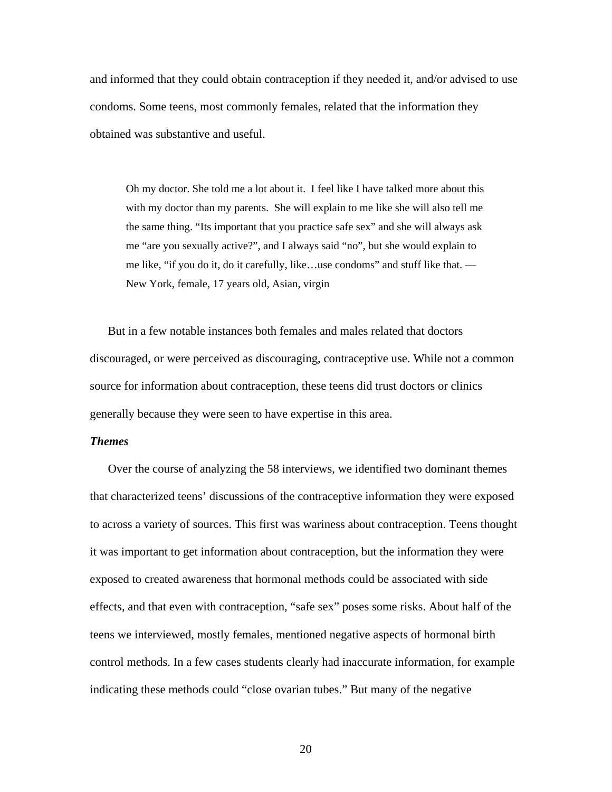and informed that they could obtain contraception if they needed it, and/or advised to use condoms. Some teens, most commonly females, related that the information they obtained was substantive and useful.

Oh my doctor. She told me a lot about it. I feel like I have talked more about this with my doctor than my parents. She will explain to me like she will also tell me the same thing. "Its important that you practice safe sex" and she will always ask me "are you sexually active?", and I always said "no", but she would explain to me like, "if you do it, do it carefully, like…use condoms" and stuff like that. — New York, female, 17 years old, Asian, virgin

But in a few notable instances both females and males related that doctors discouraged, or were perceived as discouraging, contraceptive use. While not a common source for information about contraception, these teens did trust doctors or clinics generally because they were seen to have expertise in this area.

#### *Themes*

Over the course of analyzing the 58 interviews, we identified two dominant themes that characterized teens' discussions of the contraceptive information they were exposed to across a variety of sources. This first was wariness about contraception. Teens thought it was important to get information about contraception, but the information they were exposed to created awareness that hormonal methods could be associated with side effects, and that even with contraception, "safe sex" poses some risks. About half of the teens we interviewed, mostly females, mentioned negative aspects of hormonal birth control methods. In a few cases students clearly had inaccurate information, for example indicating these methods could "close ovarian tubes." But many of the negative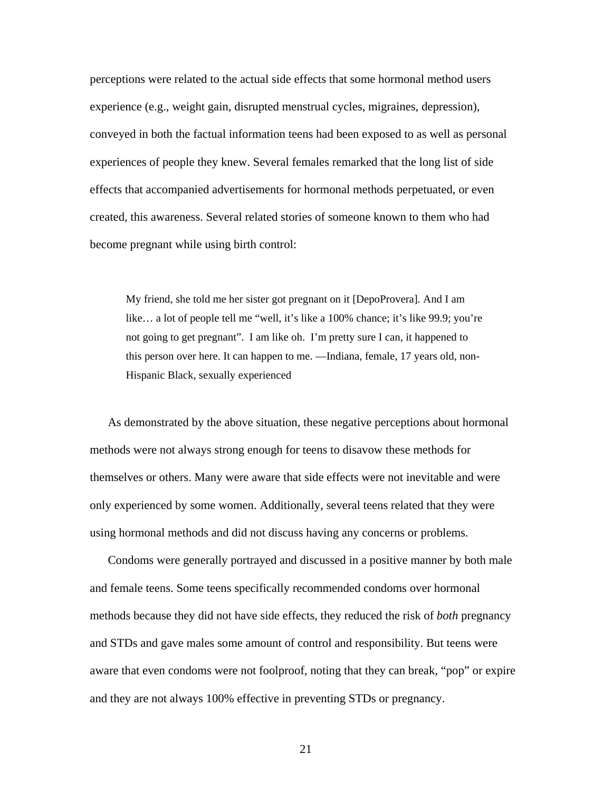perceptions were related to the actual side effects that some hormonal method users experience (e.g., weight gain, disrupted menstrual cycles, migraines, depression), conveyed in both the factual information teens had been exposed to as well as personal experiences of people they knew. Several females remarked that the long list of side effects that accompanied advertisements for hormonal methods perpetuated, or even created, this awareness. Several related stories of someone known to them who had become pregnant while using birth control:

My friend, she told me her sister got pregnant on it [DepoProvera]. And I am like… a lot of people tell me "well, it's like a 100% chance; it's like 99.9; you're not going to get pregnant". I am like oh. I'm pretty sure I can, it happened to this person over here. It can happen to me. —Indiana, female, 17 years old, non-Hispanic Black, sexually experienced

As demonstrated by the above situation, these negative perceptions about hormonal methods were not always strong enough for teens to disavow these methods for themselves or others. Many were aware that side effects were not inevitable and were only experienced by some women. Additionally, several teens related that they were using hormonal methods and did not discuss having any concerns or problems.

Condoms were generally portrayed and discussed in a positive manner by both male and female teens. Some teens specifically recommended condoms over hormonal methods because they did not have side effects, they reduced the risk of *both* pregnancy and STDs and gave males some amount of control and responsibility. But teens were aware that even condoms were not foolproof, noting that they can break, "pop" or expire and they are not always 100% effective in preventing STDs or pregnancy.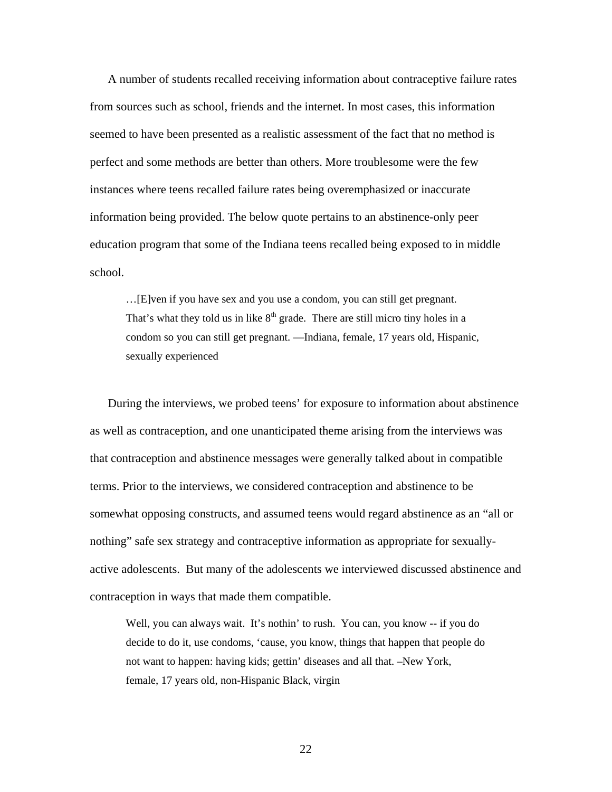A number of students recalled receiving information about contraceptive failure rates from sources such as school, friends and the internet. In most cases, this information seemed to have been presented as a realistic assessment of the fact that no method is perfect and some methods are better than others. More troublesome were the few instances where teens recalled failure rates being overemphasized or inaccurate information being provided. The below quote pertains to an abstinence-only peer education program that some of the Indiana teens recalled being exposed to in middle school.

…[E]ven if you have sex and you use a condom, you can still get pregnant. That's what they told us in like  $8<sup>th</sup>$  grade. There are still micro tiny holes in a condom so you can still get pregnant. —Indiana, female, 17 years old, Hispanic, sexually experienced

During the interviews, we probed teens' for exposure to information about abstinence as well as contraception, and one unanticipated theme arising from the interviews was that contraception and abstinence messages were generally talked about in compatible terms. Prior to the interviews, we considered contraception and abstinence to be somewhat opposing constructs, and assumed teens would regard abstinence as an "all or nothing" safe sex strategy and contraceptive information as appropriate for sexuallyactive adolescents. But many of the adolescents we interviewed discussed abstinence and contraception in ways that made them compatible.

Well, you can always wait. It's nothin' to rush. You can, you know -- if you do decide to do it, use condoms, 'cause, you know, things that happen that people do not want to happen: having kids; gettin' diseases and all that. –New York, female, 17 years old, non-Hispanic Black, virgin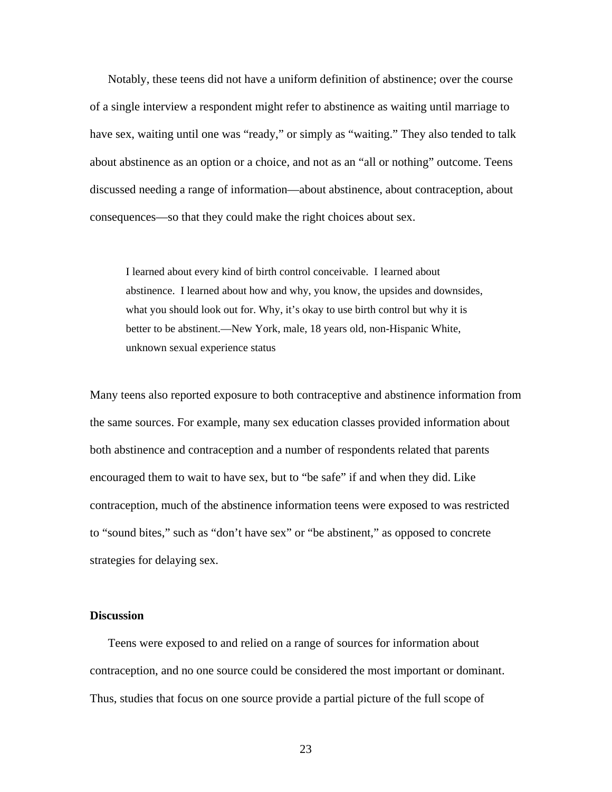Notably, these teens did not have a uniform definition of abstinence; over the course of a single interview a respondent might refer to abstinence as waiting until marriage to have sex, waiting until one was "ready," or simply as "waiting." They also tended to talk about abstinence as an option or a choice, and not as an "all or nothing" outcome. Teens discussed needing a range of information—about abstinence, about contraception, about consequences—so that they could make the right choices about sex.

I learned about every kind of birth control conceivable. I learned about abstinence. I learned about how and why, you know, the upsides and downsides, what you should look out for. Why, it's okay to use birth control but why it is better to be abstinent.—New York, male, 18 years old, non-Hispanic White, unknown sexual experience status

Many teens also reported exposure to both contraceptive and abstinence information from the same sources. For example, many sex education classes provided information about both abstinence and contraception and a number of respondents related that parents encouraged them to wait to have sex, but to "be safe" if and when they did. Like contraception, much of the abstinence information teens were exposed to was restricted to "sound bites," such as "don't have sex" or "be abstinent," as opposed to concrete strategies for delaying sex.

#### **Discussion**

Teens were exposed to and relied on a range of sources for information about contraception, and no one source could be considered the most important or dominant. Thus, studies that focus on one source provide a partial picture of the full scope of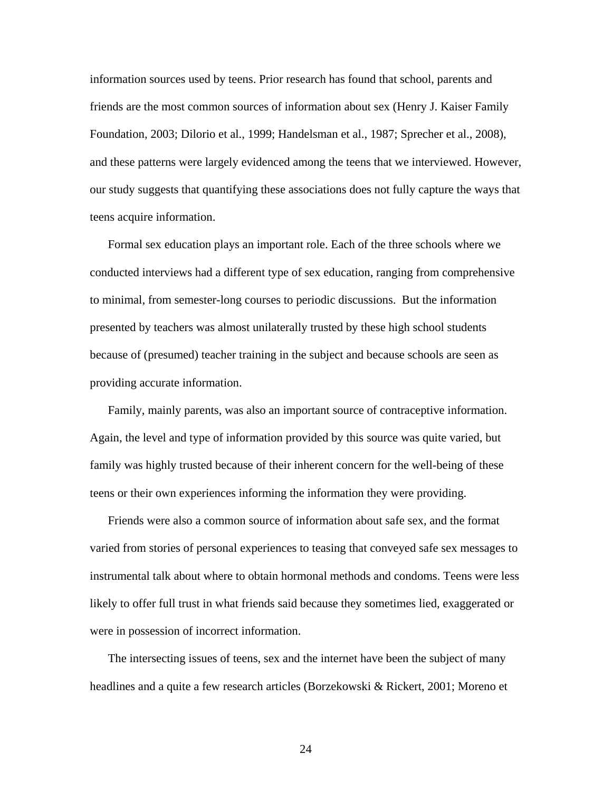information sources used by teens. Prior research has found that school, parents and friends are the most common sources of information about sex (Henry J. Kaiser Family Foundation, 2003; Dilorio et al., 1999; Handelsman et al., 1987; Sprecher et al., 2008), and these patterns were largely evidenced among the teens that we interviewed. However, our study suggests that quantifying these associations does not fully capture the ways that teens acquire information.

Formal sex education plays an important role. Each of the three schools where we conducted interviews had a different type of sex education, ranging from comprehensive to minimal, from semester-long courses to periodic discussions. But the information presented by teachers was almost unilaterally trusted by these high school students because of (presumed) teacher training in the subject and because schools are seen as providing accurate information.

Family, mainly parents, was also an important source of contraceptive information. Again, the level and type of information provided by this source was quite varied, but family was highly trusted because of their inherent concern for the well-being of these teens or their own experiences informing the information they were providing.

Friends were also a common source of information about safe sex, and the format varied from stories of personal experiences to teasing that conveyed safe sex messages to instrumental talk about where to obtain hormonal methods and condoms. Teens were less likely to offer full trust in what friends said because they sometimes lied, exaggerated or were in possession of incorrect information.

The intersecting issues of teens, sex and the internet have been the subject of many headlines and a quite a few research articles (Borzekowski & Rickert, 2001; Moreno et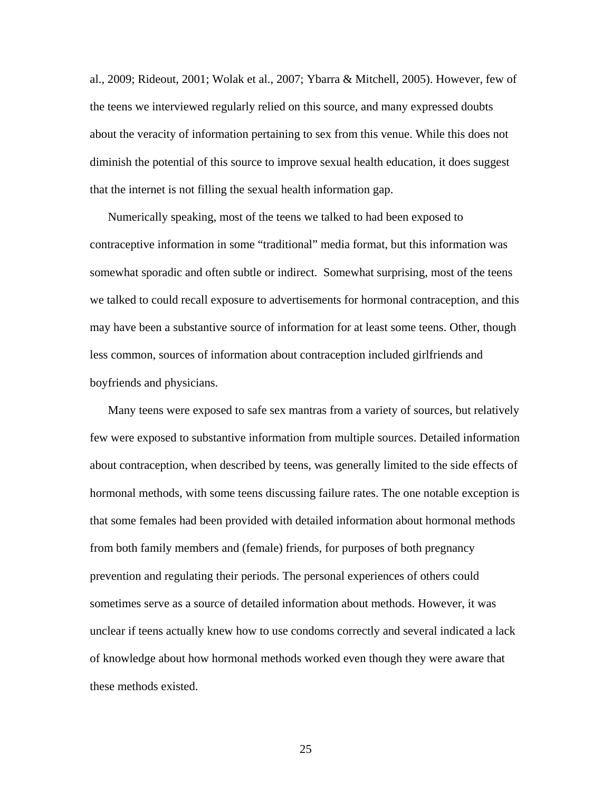al., 2009; Rideout, 2001; Wolak et al., 2007; Ybarra & Mitchell, 2005). However, few of the teens we interviewed regularly relied on this source, and many expressed doubts about the veracity of information pertaining to sex from this venue. While this does not diminish the potential of this source to improve sexual health education, it does suggest that the internet is not filling the sexual health information gap.

Numerically speaking, most of the teens we talked to had been exposed to contraceptive information in some "traditional" media format, but this information was somewhat sporadic and often subtle or indirect. Somewhat surprising, most of the teens we talked to could recall exposure to advertisements for hormonal contraception, and this may have been a substantive source of information for at least some teens. Other, though less common, sources of information about contraception included girlfriends and boyfriends and physicians.

Many teens were exposed to safe sex mantras from a variety of sources, but relatively few were exposed to substantive information from multiple sources. Detailed information about contraception, when described by teens, was generally limited to the side effects of hormonal methods, with some teens discussing failure rates. The one notable exception is that some females had been provided with detailed information about hormonal methods from both family members and (female) friends, for purposes of both pregnancy prevention and regulating their periods. The personal experiences of others could sometimes serve as a source of detailed information about methods. However, it was unclear if teens actually knew how to use condoms correctly and several indicated a lack of knowledge about how hormonal methods worked even though they were aware that these methods existed.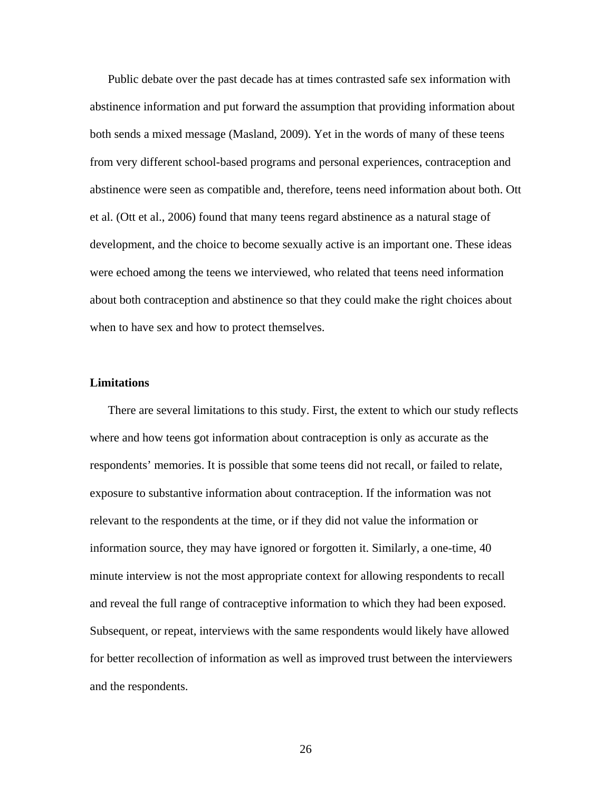Public debate over the past decade has at times contrasted safe sex information with abstinence information and put forward the assumption that providing information about both sends a mixed message (Masland, 2009). Yet in the words of many of these teens from very different school-based programs and personal experiences, contraception and abstinence were seen as compatible and, therefore, teens need information about both. Ott et al. (Ott et al., 2006) found that many teens regard abstinence as a natural stage of development, and the choice to become sexually active is an important one. These ideas were echoed among the teens we interviewed, who related that teens need information about both contraception and abstinence so that they could make the right choices about when to have sex and how to protect themselves.

#### **Limitations**

There are several limitations to this study. First, the extent to which our study reflects where and how teens got information about contraception is only as accurate as the respondents' memories. It is possible that some teens did not recall, or failed to relate, exposure to substantive information about contraception. If the information was not relevant to the respondents at the time, or if they did not value the information or information source, they may have ignored or forgotten it. Similarly, a one-time, 40 minute interview is not the most appropriate context for allowing respondents to recall and reveal the full range of contraceptive information to which they had been exposed. Subsequent, or repeat, interviews with the same respondents would likely have allowed for better recollection of information as well as improved trust between the interviewers and the respondents.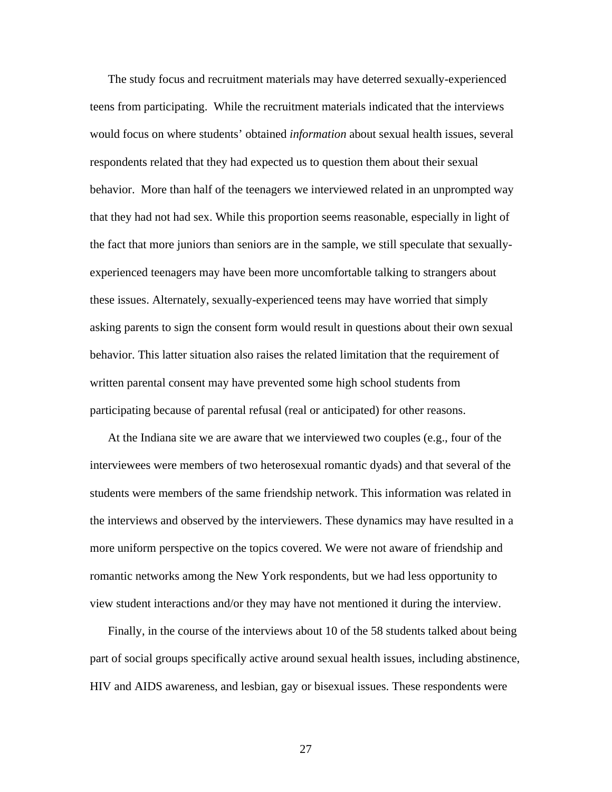The study focus and recruitment materials may have deterred sexually-experienced teens from participating. While the recruitment materials indicated that the interviews would focus on where students' obtained *information* about sexual health issues, several respondents related that they had expected us to question them about their sexual behavior. More than half of the teenagers we interviewed related in an unprompted way that they had not had sex. While this proportion seems reasonable, especially in light of the fact that more juniors than seniors are in the sample, we still speculate that sexuallyexperienced teenagers may have been more uncomfortable talking to strangers about these issues. Alternately, sexually-experienced teens may have worried that simply asking parents to sign the consent form would result in questions about their own sexual behavior. This latter situation also raises the related limitation that the requirement of written parental consent may have prevented some high school students from participating because of parental refusal (real or anticipated) for other reasons.

At the Indiana site we are aware that we interviewed two couples (e.g., four of the interviewees were members of two heterosexual romantic dyads) and that several of the students were members of the same friendship network. This information was related in the interviews and observed by the interviewers. These dynamics may have resulted in a more uniform perspective on the topics covered. We were not aware of friendship and romantic networks among the New York respondents, but we had less opportunity to view student interactions and/or they may have not mentioned it during the interview.

Finally, in the course of the interviews about 10 of the 58 students talked about being part of social groups specifically active around sexual health issues, including abstinence, HIV and AIDS awareness, and lesbian, gay or bisexual issues. These respondents were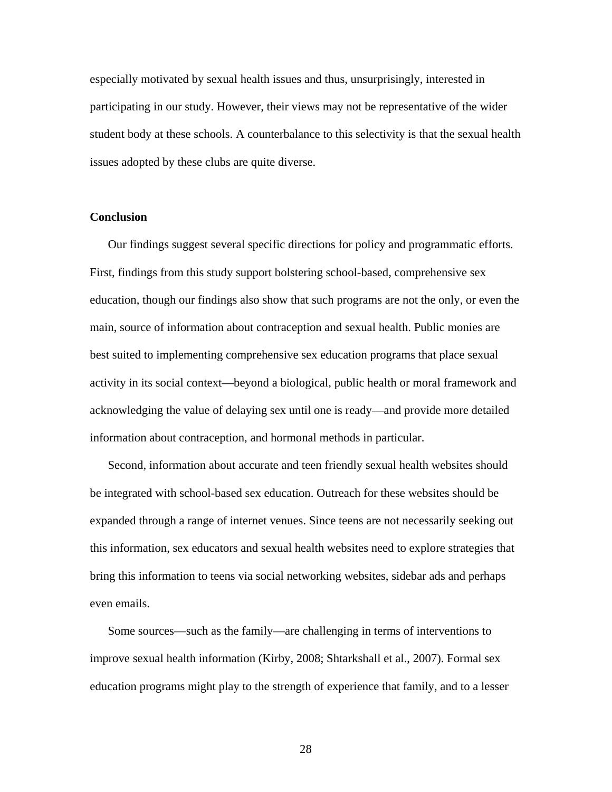especially motivated by sexual health issues and thus, unsurprisingly, interested in participating in our study. However, their views may not be representative of the wider student body at these schools. A counterbalance to this selectivity is that the sexual health issues adopted by these clubs are quite diverse.

#### **Conclusion**

Our findings suggest several specific directions for policy and programmatic efforts. First, findings from this study support bolstering school-based, comprehensive sex education, though our findings also show that such programs are not the only, or even the main, source of information about contraception and sexual health. Public monies are best suited to implementing comprehensive sex education programs that place sexual activity in its social context—beyond a biological, public health or moral framework and acknowledging the value of delaying sex until one is ready—and provide more detailed information about contraception, and hormonal methods in particular.

Second, information about accurate and teen friendly sexual health websites should be integrated with school-based sex education. Outreach for these websites should be expanded through a range of internet venues. Since teens are not necessarily seeking out this information, sex educators and sexual health websites need to explore strategies that bring this information to teens via social networking websites, sidebar ads and perhaps even emails.

Some sources—such as the family—are challenging in terms of interventions to improve sexual health information (Kirby, 2008; Shtarkshall et al., 2007). Formal sex education programs might play to the strength of experience that family, and to a lesser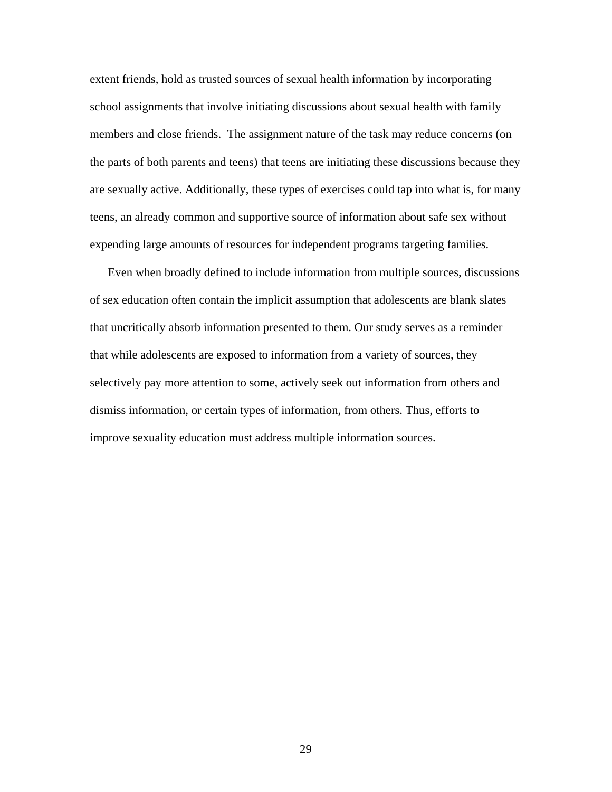extent friends, hold as trusted sources of sexual health information by incorporating school assignments that involve initiating discussions about sexual health with family members and close friends. The assignment nature of the task may reduce concerns (on the parts of both parents and teens) that teens are initiating these discussions because they are sexually active. Additionally, these types of exercises could tap into what is, for many teens, an already common and supportive source of information about safe sex without expending large amounts of resources for independent programs targeting families.

Even when broadly defined to include information from multiple sources, discussions of sex education often contain the implicit assumption that adolescents are blank slates that uncritically absorb information presented to them. Our study serves as a reminder that while adolescents are exposed to information from a variety of sources, they selectively pay more attention to some, actively seek out information from others and dismiss information, or certain types of information, from others. Thus, efforts to improve sexuality education must address multiple information sources.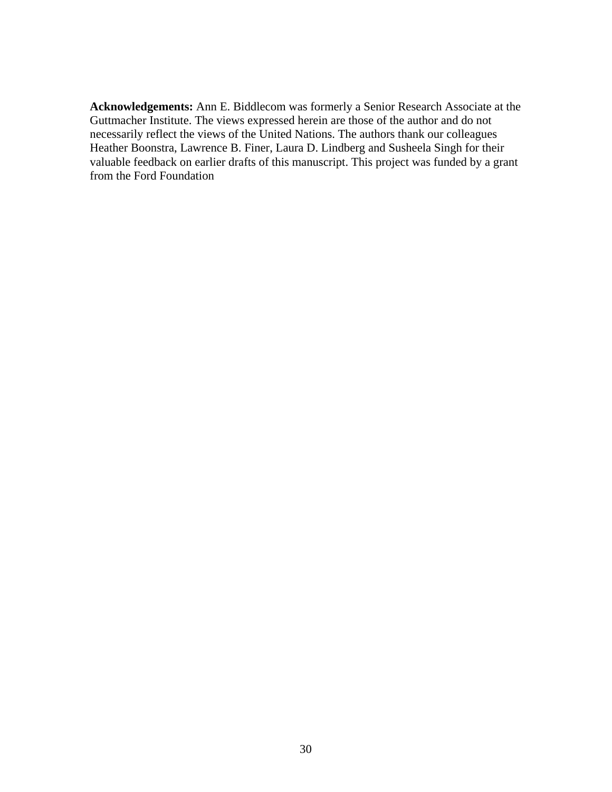**Acknowledgements:** Ann E. Biddlecom was formerly a Senior Research Associate at the Guttmacher Institute. The views expressed herein are those of the author and do not necessarily reflect the views of the United Nations. The authors thank our colleagues Heather Boonstra, Lawrence B. Finer, Laura D. Lindberg and Susheela Singh for their valuable feedback on earlier drafts of this manuscript. This project was funded by a grant from the Ford Foundation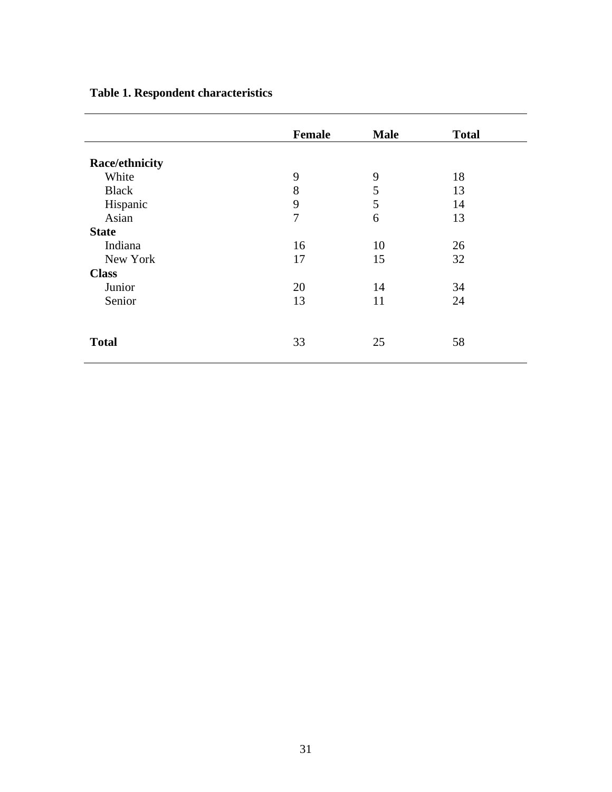# **Table 1. Respondent characteristics**

|                | <b>Female</b> | <b>Male</b> | <b>Total</b> |
|----------------|---------------|-------------|--------------|
| Race/ethnicity |               |             |              |
| White          | 9             | 9           | 18           |
| <b>Black</b>   | 8             | 5           | 13           |
| Hispanic       | 9             | 5           | 14           |
| Asian          | 7             | 6           | 13           |
| <b>State</b>   |               |             |              |
| Indiana        | 16            | 10          | 26           |
| New York       | 17            | 15          | 32           |
| <b>Class</b>   |               |             |              |
| Junior         | 20            | 14          | 34           |
| Senior         | 13            | 11          | 24           |
|                |               |             |              |
| <b>Total</b>   | 33            | 25          | 58           |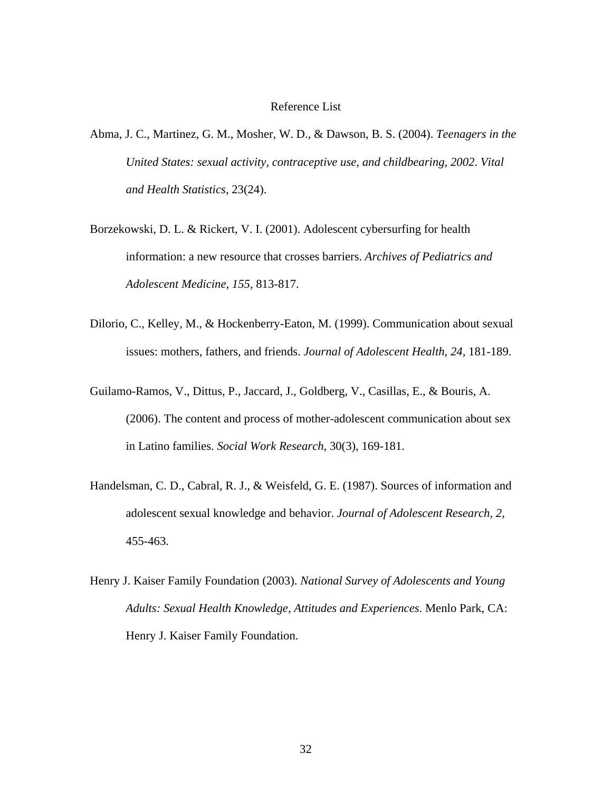### Reference List

- Abma, J. C., Martinez, G. M., Mosher, W. D., & Dawson, B. S. (2004). *Teenagers in the United States: sexual activity, contraceptive use, and childbearing, 2002*. *Vital and Health Statistics*, 23(24).
- Borzekowski, D. L. & Rickert, V. I. (2001). Adolescent cybersurfing for health information: a new resource that crosses barriers. *Archives of Pediatrics and Adolescent Medicine, 155,* 813-817.
- Dilorio, C., Kelley, M., & Hockenberry-Eaton, M. (1999). Communication about sexual issues: mothers, fathers, and friends. *Journal of Adolescent Health, 24,* 181-189.
- Guilamo-Ramos, V., Dittus, P., Jaccard, J., Goldberg, V., Casillas, E., & Bouris, A. (2006). The content and process of mother-adolescent communication about sex in Latino families. *Social Work Research*, 30(3), 169-181.
- Handelsman, C. D., Cabral, R. J., & Weisfeld, G. E. (1987). Sources of information and adolescent sexual knowledge and behavior. *Journal of Adolescent Research, 2,* 455-463.
- Henry J. Kaiser Family Foundation (2003). *National Survey of Adolescents and Young Adults: Sexual Health Knowledge, Attitudes and Experiences*. Menlo Park, CA: Henry J. Kaiser Family Foundation.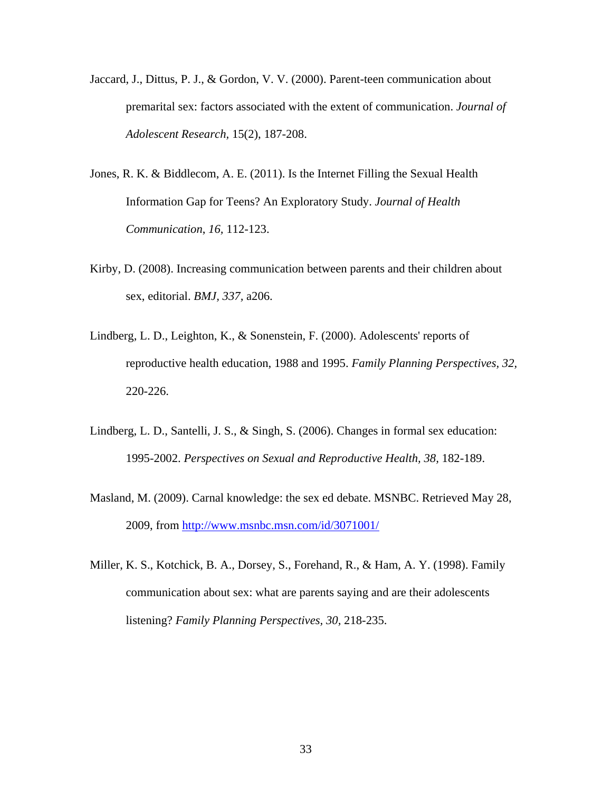- Jaccard, J., Dittus, P. J., & Gordon, V. V. (2000). Parent-teen communication about premarital sex: factors associated with the extent of communication. *Journal of Adolescent Research,* 15(2), 187-208.
- Jones, R. K. & Biddlecom, A. E. (2011). Is the Internet Filling the Sexual Health Information Gap for Teens? An Exploratory Study. *Journal of Health Communication*, *16,* 112-123.
- Kirby, D. (2008). Increasing communication between parents and their children about sex, editorial. *BMJ, 337,* a206.
- Lindberg, L. D., Leighton, K., & Sonenstein, F. (2000). Adolescents' reports of reproductive health education, 1988 and 1995. *Family Planning Perspectives, 32,* 220-226.
- Lindberg, L. D., Santelli, J. S., & Singh, S. (2006). Changes in formal sex education: 1995-2002. *Perspectives on Sexual and Reproductive Health, 38,* 182-189.
- Masland, M. (2009). Carnal knowledge: the sex ed debate. MSNBC. Retrieved May 28, 2009, from http://www.msnbc.msn.com/id/3071001/
- Miller, K. S., Kotchick, B. A., Dorsey, S., Forehand, R., & Ham, A. Y. (1998). Family communication about sex: what are parents saying and are their adolescents listening? *Family Planning Perspectives, 30,* 218-235.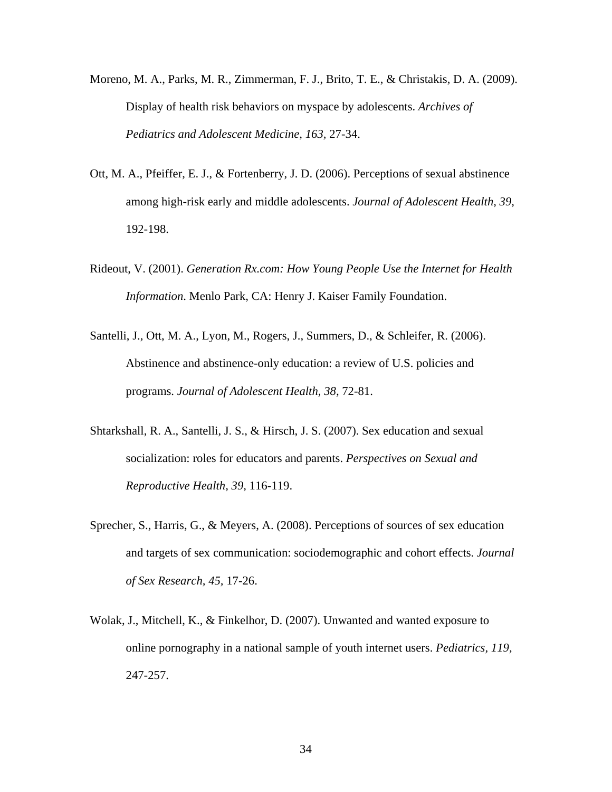- Moreno, M. A., Parks, M. R., Zimmerman, F. J., Brito, T. E., & Christakis, D. A. (2009). Display of health risk behaviors on myspace by adolescents. *Archives of Pediatrics and Adolescent Medicine, 163,* 27-34.
- Ott, M. A., Pfeiffer, E. J., & Fortenberry, J. D. (2006). Perceptions of sexual abstinence among high-risk early and middle adolescents. *Journal of Adolescent Health, 39,* 192-198.
- Rideout, V. (2001). *Generation Rx.com: How Young People Use the Internet for Health Information*. Menlo Park, CA: Henry J. Kaiser Family Foundation.
- Santelli, J., Ott, M. A., Lyon, M., Rogers, J., Summers, D., & Schleifer, R. (2006). Abstinence and abstinence-only education: a review of U.S. policies and programs. *Journal of Adolescent Health, 38,* 72-81.
- Shtarkshall, R. A., Santelli, J. S., & Hirsch, J. S. (2007). Sex education and sexual socialization: roles for educators and parents. *Perspectives on Sexual and Reproductive Health, 39,* 116-119.
- Sprecher, S., Harris, G., & Meyers, A. (2008). Perceptions of sources of sex education and targets of sex communication: sociodemographic and cohort effects. *Journal of Sex Research, 45,* 17-26.
- Wolak, J., Mitchell, K., & Finkelhor, D. (2007). Unwanted and wanted exposure to online pornography in a national sample of youth internet users. *Pediatrics, 119,* 247-257.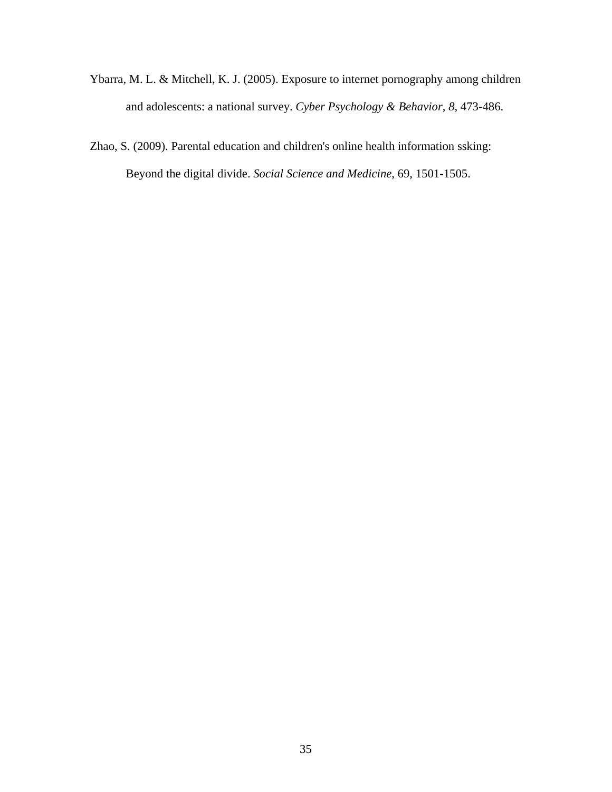- Ybarra, M. L. & Mitchell, K. J. (2005). Exposure to internet pornography among children and adolescents: a national survey. *Cyber Psychology & Behavior, 8,* 473-486.
- Zhao, S. (2009). Parental education and children's online health information ssking: Beyond the digital divide. *Social Science and Medicine*, 69, 1501-1505.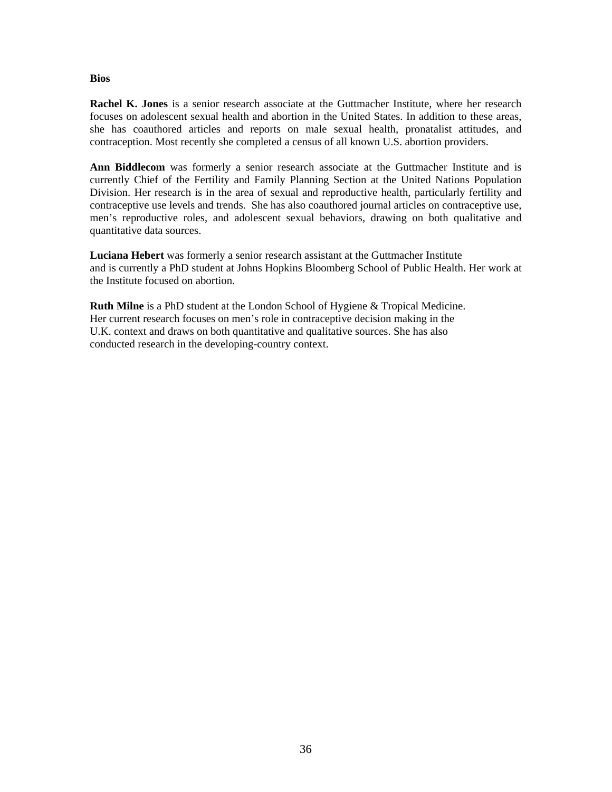#### **Bios**

**Rachel K. Jones** is a senior research associate at the Guttmacher Institute, where her research focuses on adolescent sexual health and abortion in the United States. In addition to these areas, she has coauthored articles and reports on male sexual health, pronatalist attitudes, and contraception. Most recently she completed a census of all known U.S. abortion providers.

**Ann Biddlecom** was formerly a senior research associate at the Guttmacher Institute and is currently Chief of the Fertility and Family Planning Section at the United Nations Population Division. Her research is in the area of sexual and reproductive health, particularly fertility and contraceptive use levels and trends. She has also coauthored journal articles on contraceptive use, men's reproductive roles, and adolescent sexual behaviors, drawing on both qualitative and quantitative data sources.

**Luciana Hebert** was formerly a senior research assistant at the Guttmacher Institute and is currently a PhD student at Johns Hopkins Bloomberg School of Public Health. Her work at the Institute focused on abortion.

**Ruth Milne** is a PhD student at the London School of Hygiene & Tropical Medicine. Her current research focuses on men's role in contraceptive decision making in the U.K. context and draws on both quantitative and qualitative sources. She has also conducted research in the developing-country context.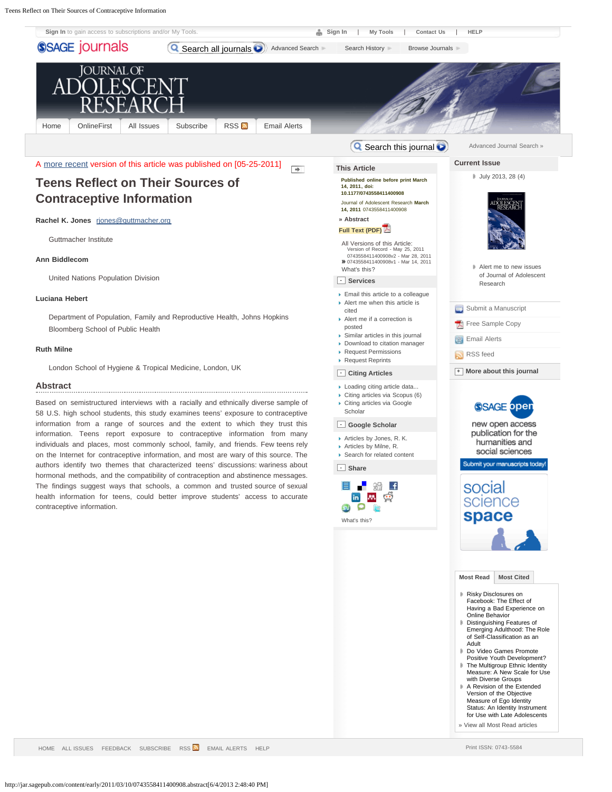<span id="page-36-0"></span>Teens Reflect on Their Sources of Contraceptive Information